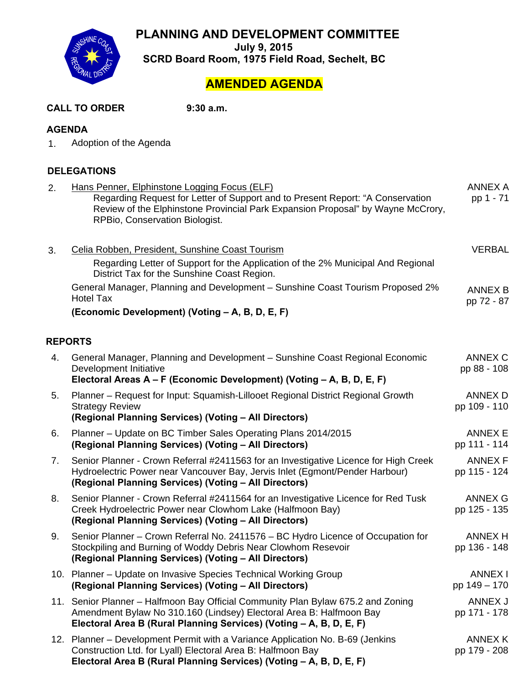**PLANNING AND DEVELOPMENT COMMITTEE** 



**July 9, 2015 SCRD Board Room, 1975 Field Road, Sechelt, BC** 

## **AMENDED AGENDA**

| <b>CALL TO ORDER</b> | 9:30 a.m. |
|----------------------|-----------|
|----------------------|-----------|

#### **AGENDA**

1. Adoption of the Agenda

### **DELEGATIONS**

| 2. | Hans Penner, Elphinstone Logging Focus (ELF)<br>Regarding Request for Letter of Support and to Present Report: "A Conservation<br>Review of the Elphinstone Provincial Park Expansion Proposal" by Wayne McCrory,<br>RPBio, Conservation Biologist. | <b>ANNEX A</b><br>pp 1 - 71    |
|----|-----------------------------------------------------------------------------------------------------------------------------------------------------------------------------------------------------------------------------------------------------|--------------------------------|
| 3. | Celia Robben, President, Sunshine Coast Tourism<br>Regarding Letter of Support for the Application of the 2% Municipal And Regional<br>District Tax for the Sunshine Coast Region.                                                                  | <b>VERBAL</b>                  |
|    | General Manager, Planning and Development - Sunshine Coast Tourism Proposed 2%<br><b>Hotel Tax</b>                                                                                                                                                  | <b>ANNEX B</b><br>pp 72 - 87   |
|    | (Economic Development) (Voting - A, B, D, E, F)                                                                                                                                                                                                     |                                |
|    | <b>REPORTS</b>                                                                                                                                                                                                                                      |                                |
| 4. | General Manager, Planning and Development - Sunshine Coast Regional Economic<br>Development Initiative<br>Electoral Areas A - F (Economic Development) (Voting - A, B, D, E, F)                                                                     | ANNEX C<br>pp 88 - 108         |
| 5. | Planner - Request for Input: Squamish-Lillooet Regional District Regional Growth<br><b>Strategy Review</b><br>(Regional Planning Services) (Voting - All Directors)                                                                                 | ANNEX D<br>pp 109 - 110        |
| 6. | Planner – Update on BC Timber Sales Operating Plans 2014/2015<br>(Regional Planning Services) (Voting - All Directors)                                                                                                                              | <b>ANNEX E</b><br>pp 111 - 114 |
| 7. | Senior Planner - Crown Referral #2411563 for an Investigative Licence for High Creek<br>Hydroelectric Power near Vancouver Bay, Jervis Inlet (Egmont/Pender Harbour)<br>(Regional Planning Services) (Voting - All Directors)                       | <b>ANNEX F</b><br>pp 115 - 124 |
| 8. | Senior Planner - Crown Referral #2411564 for an Investigative Licence for Red Tusk<br>Creek Hydroelectric Power near Clowhom Lake (Halfmoon Bay)<br>(Regional Planning Services) (Voting - All Directors)                                           | <b>ANNEX G</b><br>pp 125 - 135 |
| 9. | Senior Planner – Crown Referral No. 2411576 – BC Hydro Licence of Occupation for<br>Stockpiling and Burning of Woddy Debris Near Clowhom Resevoir<br>(Regional Planning Services) (Voting - All Directors)                                          | <b>ANNEX H</b><br>pp 136 - 148 |
|    | 10. Planner - Update on Invasive Species Technical Working Group<br>(Regional Planning Services) (Voting - All Directors)                                                                                                                           | <b>ANNEX I</b><br>pp 149 - 170 |
|    | 11. Senior Planner - Halfmoon Bay Official Community Plan Bylaw 675.2 and Zoning<br>Amendment Bylaw No 310.160 (Lindsey) Electoral Area B: Halfmoon Bay<br>Electoral Area B (Rural Planning Services) (Voting - A, B, D, E, F)                      | ANNEX J<br>pp 171 - 178        |
|    | 12. Planner – Development Permit with a Variance Application No. B-69 (Jenkins<br>Construction Ltd. for Lyall) Electoral Area B: Halfmoon Bay<br>Electoral Area B (Rural Planning Services) (Voting - A, B, D, E, F)                                | ANNEX K<br>pp 179 - 208        |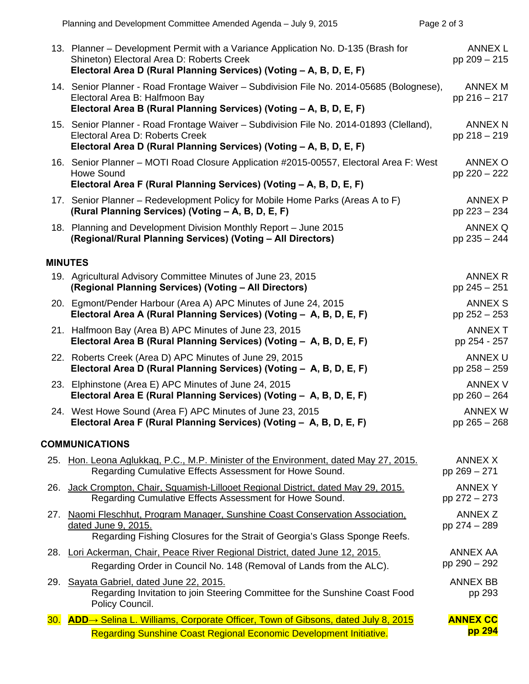|     | Planning and Development Committee Amended Agenda - July 9, 2015                                                                                                                                      | Page 2 of 3                    |
|-----|-------------------------------------------------------------------------------------------------------------------------------------------------------------------------------------------------------|--------------------------------|
|     | 13. Planner – Development Permit with a Variance Application No. D-135 (Brash for<br>Shineton) Electoral Area D: Roberts Creek<br>Electoral Area D (Rural Planning Services) (Voting - A, B, D, E, F) | ANNEX L<br>pp 209 - 215        |
|     | 14. Senior Planner - Road Frontage Waiver - Subdivision File No. 2014-05685 (Bolognese),<br>Electoral Area B: Halfmoon Bay<br>Electoral Area B (Rural Planning Services) (Voting - A, B, D, E, F)     | ANNEX M<br>pp 216 - 217        |
|     | 15. Senior Planner - Road Frontage Waiver - Subdivision File No. 2014-01893 (Clelland),<br>Electoral Area D: Roberts Creek<br>Electoral Area D (Rural Planning Services) (Voting - A, B, D, E, F)     | <b>ANNEX N</b><br>pp 218 - 219 |
|     | 16. Senior Planner - MOTI Road Closure Application #2015-00557, Electoral Area F: West<br><b>Howe Sound</b><br>Electoral Area F (Rural Planning Services) (Voting - A, B, D, E, F)                    | <b>ANNEX O</b><br>pp 220 - 222 |
|     | 17. Senior Planner – Redevelopment Policy for Mobile Home Parks (Areas A to F)<br>(Rural Planning Services) (Voting - A, B, D, E, F)                                                                  | <b>ANNEX P</b><br>pp 223 - 234 |
|     | 18. Planning and Development Division Monthly Report - June 2015<br>(Regional/Rural Planning Services) (Voting - All Directors)                                                                       | ANNEX Q<br>pp 235 - 244        |
|     | <b>MINUTES</b>                                                                                                                                                                                        |                                |
|     | 19. Agricultural Advisory Committee Minutes of June 23, 2015<br>(Regional Planning Services) (Voting - All Directors)                                                                                 | ANNEX R<br>pp 245 - 251        |
|     | 20. Egmont/Pender Harbour (Area A) APC Minutes of June 24, 2015<br>Electoral Area A (Rural Planning Services) (Voting - A, B, D, E, F)                                                                | <b>ANNEX S</b><br>pp 252 - 253 |
|     | 21. Halfmoon Bay (Area B) APC Minutes of June 23, 2015<br>Electoral Area B (Rural Planning Services) (Voting - A, B, D, E, F)                                                                         | <b>ANNEX T</b><br>pp 254 - 257 |
|     | 22. Roberts Creek (Area D) APC Minutes of June 29, 2015<br>Electoral Area D (Rural Planning Services) (Voting - A, B, D, E, F)                                                                        | <b>ANNEX U</b><br>pp 258 - 259 |
|     | 23. Elphinstone (Area E) APC Minutes of June 24, 2015<br>Electoral Area E (Rural Planning Services) (Voting - A, B, D, E, F)                                                                          | <b>ANNEX V</b><br>pp 260 - 264 |
|     | 24. West Howe Sound (Area F) APC Minutes of June 23, 2015<br>Electoral Area F (Rural Planning Services) (Voting - A, B, D, E, F)                                                                      | <b>ANNEX W</b><br>pp 265 - 268 |
|     | <b>COMMUNICATIONS</b>                                                                                                                                                                                 |                                |
|     | 25. Hon. Leona Aglukkag, P.C., M.P. Minister of the Environment, dated May 27, 2015.<br>Regarding Cumulative Effects Assessment for Howe Sound.                                                       | <b>ANNEX X</b><br>pp 269 - 271 |
|     | 26. Jack Crompton, Chair, Squamish-Lillooet Regional District, dated May 29, 2015.<br>Regarding Cumulative Effects Assessment for Howe Sound.                                                         | <b>ANNEX Y</b><br>pp 272 - 273 |
| 27. | Naomi Fleschhut, Program Manager, Sunshine Coast Conservation Association,<br>dated June 9, 2015.<br>Regarding Fishing Closures for the Strait of Georgia's Glass Sponge Reefs.                       | <b>ANNEX Z</b><br>pp 274 - 289 |
|     | 28. Lori Ackerman, Chair, Peace River Regional District, dated June 12, 2015.                                                                                                                         | <b>ANNEX AA</b>                |
|     | Regarding Order in Council No. 148 (Removal of Lands from the ALC).                                                                                                                                   | pp 290 - 292                   |
|     | 29. Sayata Gabriel, dated June 22, 2015.<br>Regarding Invitation to join Steering Committee for the Sunshine Coast Food<br>Policy Council.                                                            | <b>ANNEX BB</b><br>pp 293      |
| 30. | <b>ADD</b> → Selina L. Williams, Corporate Officer, Town of Gibsons, dated July 8, 2015                                                                                                               | <b>ANNEX CC</b>                |
|     | <b>Regarding Sunshine Coast Regional Economic Development Initiative.</b>                                                                                                                             | pp 294                         |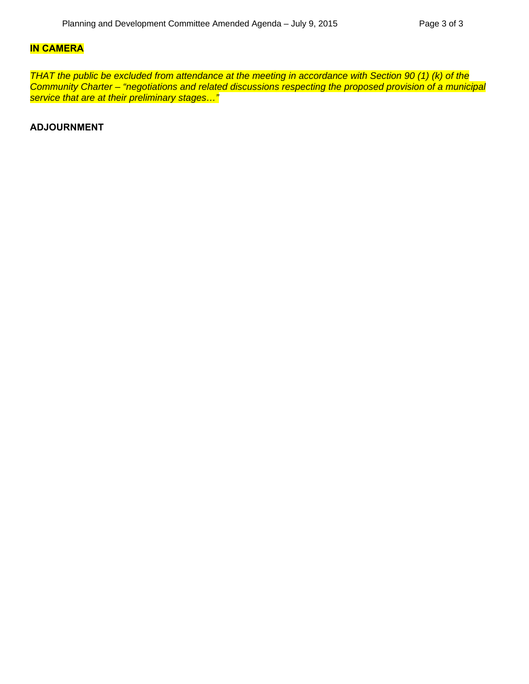#### **IN CAMERA**

*THAT the public be excluded from attendance at the meeting in accordance with Section 90 (1) (k) of the Community Charter – "negotiations and related discussions respecting the proposed provision of a municipal service that are at their preliminary stages…"*

**ADJOURNMENT**